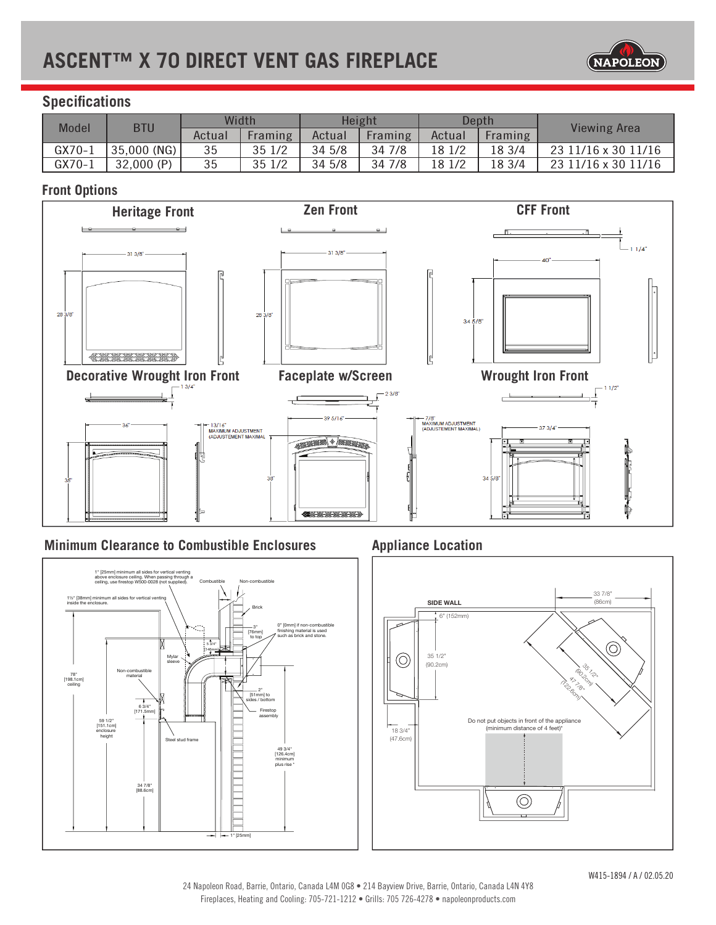# **ASCENT™ X 70 DIRECT VENT GAS FIREPLACE**



# **Specifications**

| <b>Model</b> | <b>BTU</b>  | Width  |         | Height |         | Depth  |         | <b>Viewing Area</b> |
|--------------|-------------|--------|---------|--------|---------|--------|---------|---------------------|
|              |             | Actual | Framing | Actual | Framing | Actual | Framing |                     |
| GX70-1       | 35,000 (NG) | 35     | 35 1/2  | 34 5/8 | 34 7/8  | 18 1/2 | 18 3/4  | 23 11/16 x 30 11/16 |
| $GX70-1$     | 32,000 (P)  | 35     | 35 1/2  | 34 5/8 | 34 7/8  | 18 1/2 | 18 3/4  | 23 11/16 x 30 11/16 |

# **Front Options**



## **Minimum Clearance to Combustible Enclosures**



# **Appliance Location**

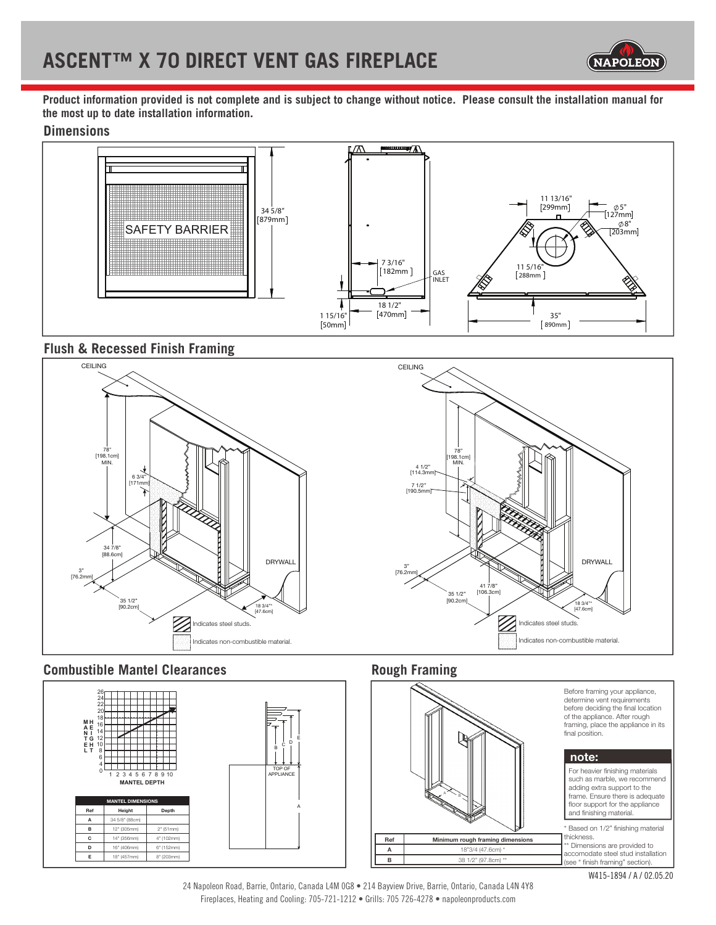

**Product information provided is not complete and is subject to change without notice. Please consult the installation manual for the most up to date installation information.**

### **Dimensions**



## **Flush & Recessed Finish Framing**



## **Combustible Mantel Clearances**



# **Rough Framing**



#### Before framing your appliance, determine vent requirements before deciding the final location of the appliance. After rough framing, place the appliance in its<br>final position.

#### **note:**



24 Napoleon Road, Barrie, Ontario, Canada L4M 0G8 • 214 Bayview Drive, Barrie, Ontario, Canada L4N 4Y8 Fireplaces, Heating and Cooling: 705-721-1212 • Grills: 705 726-4278 • napoleonproducts.com

A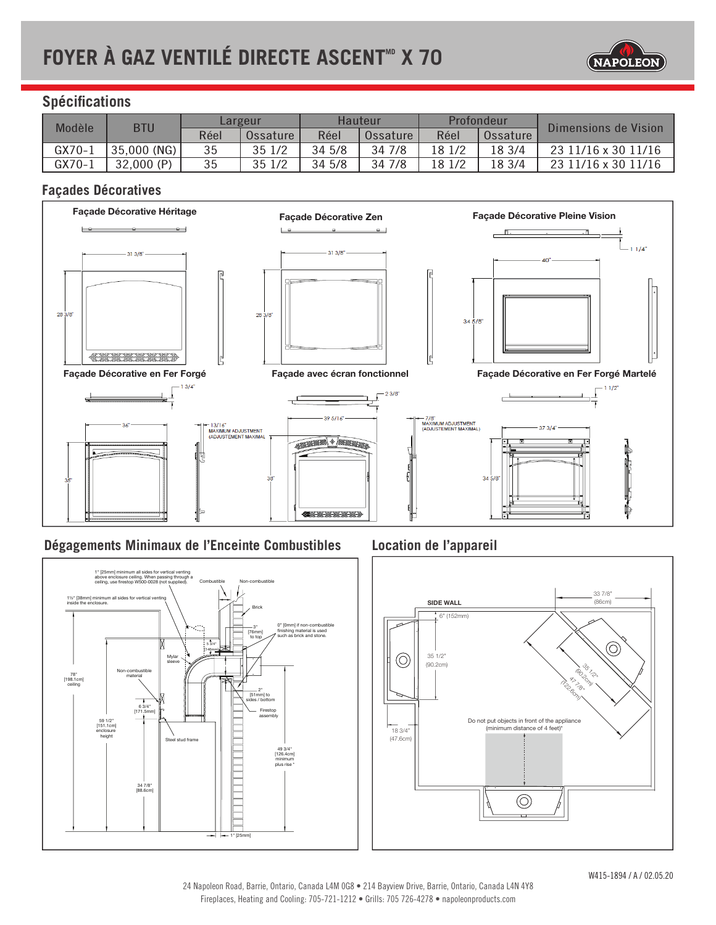# **FOYER À GAZ VENTILÉ DIRECTE ASCENT<sup>®</sup> X 70**



# **Spécifications**

| Modèle   | <b>BTU</b>  | Largeur |          | Hauteur |          | Profondeur |          | Dimensions de Vision |
|----------|-------------|---------|----------|---------|----------|------------|----------|----------------------|
|          |             | Réel    | Ossature | Réel    | Ossature | Réel       | Ossature |                      |
| $GX70-1$ | 35,000 (NG) | 35      | 35 1/2   | 34 5/8  | 34 7/8   | 18 1/2     | 18 3/4   | 23 11/16 x 30 11/16  |
| $GX70-1$ | 32,000 (P)  | 35      | 35 1/2   | 34 5/8  | 34 7/8   | 18 1/2     | 18 3/4   | 23 11/16 x 30 11/16  |

# **Façades Décoratives**



## **Dégagements Minimaux de l'Enceinte Combustibles**



# **Location de l'appareil**